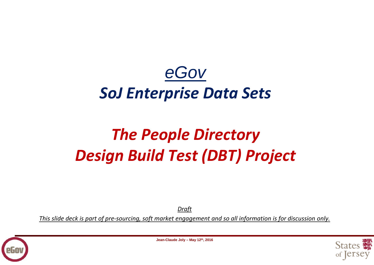# *eGov SoJ Enterprise Data Sets*

# *The People Directory Design Build Test (DBT) Project*

*Draft*

<u>This slide deck is part of pre-sourcing, soft market engagement and so all information is for discussion only.</u>





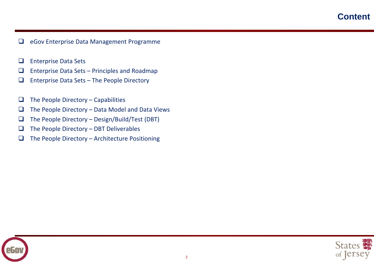# **Content**

- $\Box$ eGov Enterprise Data Management Programme
- $\Box$ Enterprise Data Sets
- $\Box$ Enterprise Data Sets – Principles and Roadmap
- $\Box$ Enterprise Data Sets – The People Directory
- $\Box$ The People Directory – Capabilities
- $\Box$ The People Directory – Data Model and Data Views
- $\Box$ The People Directory – Design/Build/Test (DBT)
- $\Box$ The People Directory – DBT Deliverables
- $\Box$ The People Directory – Architecture Positioning



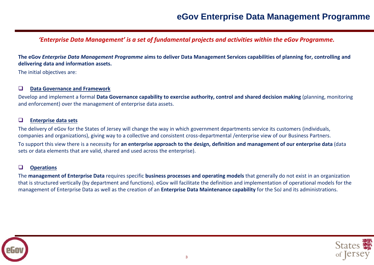# **eGov Enterprise Data Management Programme**

*'Enterprise Data Management' is a set of fundamental projects and activities within the eGov Programme.*

The eGov Enterprise Data Management Programme aims to deliver Data Management Services capabilities of planning for, controlling and **delivering data and information assets.**

The initial objectives are:

#### $\Box$ **Data Governance and Framework**

Develop and implement a formal **Data Governance capability to exercise authority, control and shared decision making** (planning, monitoring and enforcement) over the management of enterprise data assets.

#### $\Box$ **Enterprise data sets**

The delivery of eGov for the States of Jersey will change the way in which government departments service its customers (individuals, companies and organizations), giving way to a collective and consistent cross-departmental /enterprise view of our Business Partners.

To support this view there is a necessity for an enterprise approach to the design, definition and management of our enterprise data (data sets or data elements that are valid, shared and used across the enterprise).

#### $\Box$ **Operations**

The **management of Enterprise Data** requires specific **business processes and operating models** that generally do not exist in an organization that is structured vertically (by department and functions). eGov will facilitate the definition and implementation of operational models for the management of Enterprise Data as well as the creation of an **Enterprise Data Maintenance capability** for the SoJ and its administrations.



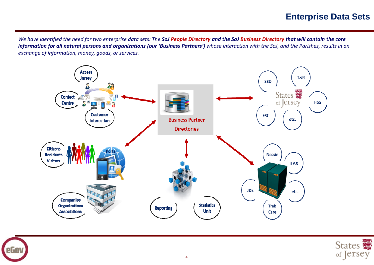# **Enterprise Data Sets**

We have identified the need for two enterprise data sets: The **SoJ People Directory and the SoJ Business Directory that will contain the core** information for all natural persons and organizations (our 'Business Partners') whose interaction with the SoJ, and the Parishes, results in an *exchange of information, money, goods, or services.*





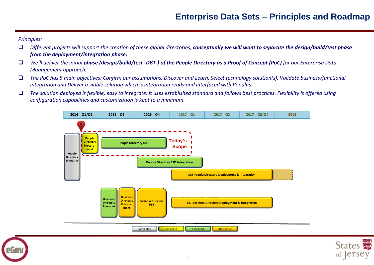## *Principles:*

- $\Box$ Different projects will support the creation of these global directories, conceptually we will want to separate the design/build/test phase *from the deployment/integration phase.*
- $\Box$  $\Box$  We'll deliver the initial **phase (design/build/test -DBT-) of the People Directory as a Proof of Concept (PoC)** for our Enterprise Data *Management approach.*
- $\Box$  $\Box$  The PoC has 5 main objectives: Confirm our assumptions, Discover and Learn, Select technology solution(s), Validate business/functional *integration and Deliver a viable solution which is integration ready and interfaced with Populus.*
- $\Box$ The solution deployed is flexible, easy to integrate, it uses established standard and follows best practices. Flexibility is offered using *configuration capabilities and customization is kept to a minimum.*



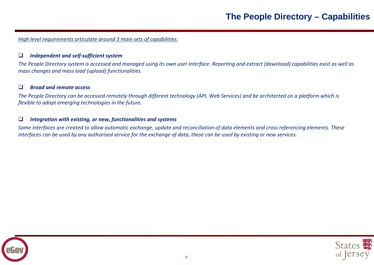*High level requirements articulate around 3 main sets of capabilities:*

#### $\Box$ *Independent and self‐sufficient system*

The People Directory system is accessed and managed using its own user interface. Reporting and extract (download) capabilities exist as well as *mass changes and mass load (upload) functionalities.*

#### $\Box$ *Broad and remote access*

The People Directory can be accessed remotely through different technology (API, Web Services) and be architected on a platform which is *flexible to adopt emerging technologies in the future.*

#### $\Box$ *Integration with existing, or new, functionalities and systems*

Some interfaces are created to allow automatic exchange, update and reconciliation of data elements and cross referencing elements. These interfaces can be used by any authorised service for the exchange of data, these can be used by existing or new services.



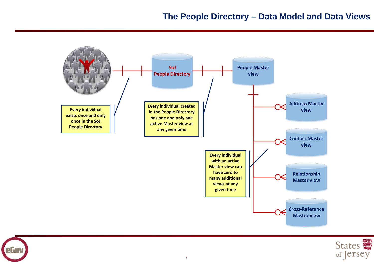



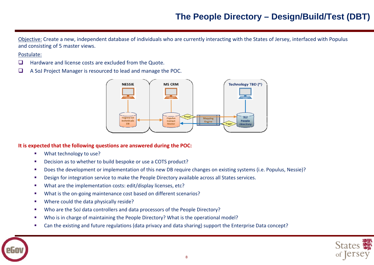# **The People Directory – Design/Build/Test (DBT)**

Objective: Create a new, independent database of individuals who are currently interacting with the States of Jersey, interfaced with Populus and consisting of 5 master views.

### Postulate:

- $\Box$ Hardware and license costs are excluded from the Quote.
- $\Box$ A SoJ Project Manager is resourced to lead and manage the POC.



## **It is expected that the following questions are answered during the POC:**

- $\mathcal{L}_{\mathcal{A}}$ What technology to use?
- г ■ Decision as to whether to build bespoke or use a COTS product?
- г ■ Does the development or implementation of this new DB require changes on existing systems (i.e. Populus, Nessie)?
- г Design for integration service to make the People Directory available across all States services.
- г What are the implementation costs: edit/display licenses, etc?
- г ■ What is the on-going maintenance cost based on different scenarios?
- $\mathcal{L}_{\mathcal{A}}$ **Where could the data physically reside?**
- г **Who are the SoJ data controllers and data processors of the People Directory?**
- г Who is in charge of maintaining the People Directory? What is the operational model?
- г Can the existing and future regulations (data privacy and data sharing) support the Enterprise Data concept?



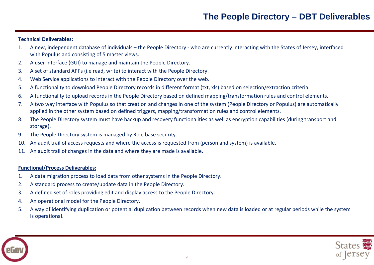# **Technical Deliverables:**

- 1. A new, independent database of individuals the People Directory ‐ who are currently interacting with the States of Jersey, interfaced with Populus and consisting of 5 master views.
- $2.$ user interface (GUI) to manage and maintain the People Directory.
- 3. A set of standard API's (i.e read, write) to interact with the People Directory.
- 4. Web Service applications to interact with the People Directory over the web.
- 5. A functionality to download People Directory records in different format (txt, xls) based on selection/extraction criteria.
- $6.$ functionality to upload records in the People Directory based on defined mapping/transformation rules and control elements.
- $7<sub>1</sub>$  two way interface with Populus so that creation and changes in one of the system (People Directory or Populus) are automatically applied in the other system based on defined triggers, mapping/transformation rules and control elements.
- 8. The People Directory system must have backup and recovery functionalities as well as encryption capabilities (during transport and storage).
- 9. The People Directory system is managed by Role base security.
- 10. An audit trail of access requests and where the access is requested from (person and system) is available.
- 11. An audit trail of changes in the data and where they are made is available.

## **Functional/Process Deliverables:**

- $\mathbf{1}$ . data migration process to load data from other systems in the People Directory.
- $2.$ A standard process to create/update data in the People Directory.
- 3. A defined set of roles providing edit and display access to the People Directory.
- 4. An operational model for the People Directory.
- $5.$  way of identifying duplication or potential duplication between records when new data is loaded or at regular periods while the system is operational.

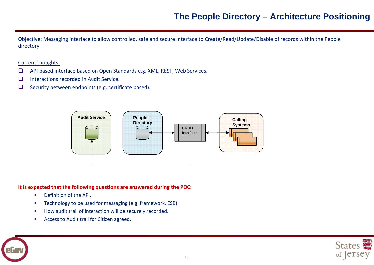Objective: Messaging interface to allow controlled, safe and secure interface to Create/Read/Update/Disable of records within the People directory

## Current thoughts:

- $\Box$ API based interface based on Open Standards e.g. XML, REST, Web Services.
- $\Box$ Interactions recorded in Audit Service.
- $\Box$ Security between endpoints (e.g. certificate based).



# **It is expected that the following questions are answered during the POC:**

- $\mathcal{L}_{\mathcal{A}}$ ■ Definition of the API.
- $\mathcal{L}_{\mathcal{A}}$ Technology to be used for messaging (e.g. framework, ESB).
- $\mathcal{L}_{\mathcal{A}}$ **How audit trail of interaction will be securely recorded.**
- $\mathcal{L}_{\mathcal{A}}$ **Access to Audit trail for Citizen agreed.**